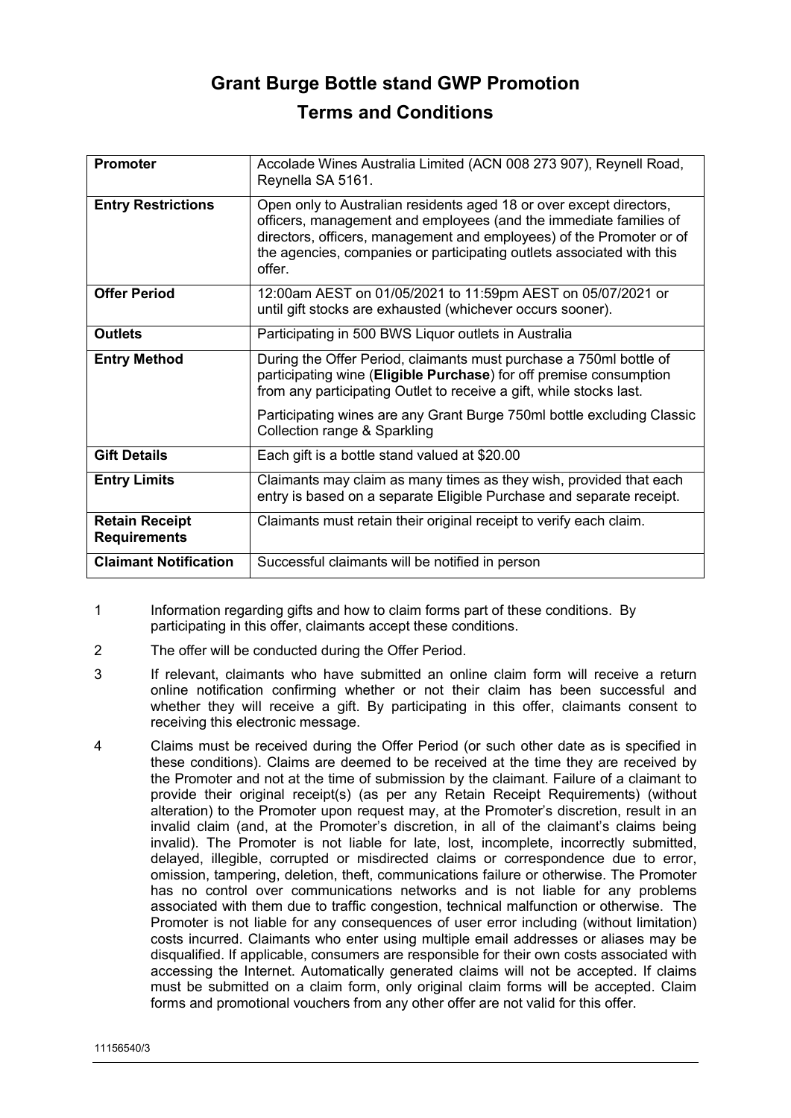## **Grant Burge Bottle stand GWP Promotion Terms and Conditions**

| <b>Promoter</b>                              | Accolade Wines Australia Limited (ACN 008 273 907), Reynell Road,<br>Reynella SA 5161.                                                                                                                                                                                                             |
|----------------------------------------------|----------------------------------------------------------------------------------------------------------------------------------------------------------------------------------------------------------------------------------------------------------------------------------------------------|
| <b>Entry Restrictions</b>                    | Open only to Australian residents aged 18 or over except directors,<br>officers, management and employees (and the immediate families of<br>directors, officers, management and employees) of the Promoter or of<br>the agencies, companies or participating outlets associated with this<br>offer |
| <b>Offer Period</b>                          | 12:00am AEST on 01/05/2021 to 11:59pm AEST on 05/07/2021 or<br>until gift stocks are exhausted (whichever occurs sooner).                                                                                                                                                                          |
| <b>Outlets</b>                               | Participating in 500 BWS Liquor outlets in Australia                                                                                                                                                                                                                                               |
| <b>Entry Method</b>                          | During the Offer Period, claimants must purchase a 750ml bottle of<br>participating wine (Eligible Purchase) for off premise consumption<br>from any participating Outlet to receive a gift, while stocks last.                                                                                    |
|                                              | Participating wines are any Grant Burge 750ml bottle excluding Classic<br>Collection range & Sparkling                                                                                                                                                                                             |
| <b>Gift Details</b>                          | Each gift is a bottle stand valued at \$20.00                                                                                                                                                                                                                                                      |
| <b>Entry Limits</b>                          | Claimants may claim as many times as they wish, provided that each<br>entry is based on a separate Eligible Purchase and separate receipt.                                                                                                                                                         |
| <b>Retain Receipt</b><br><b>Requirements</b> | Claimants must retain their original receipt to verify each claim.                                                                                                                                                                                                                                 |
| <b>Claimant Notification</b>                 | Successful claimants will be notified in person                                                                                                                                                                                                                                                    |

- 1 Information regarding gifts and how to claim forms part of these conditions. By participating in this offer, claimants accept these conditions.
- 2 The offer will be conducted during the Offer Period.
- 3 If relevant, claimants who have submitted an online claim form will receive a return online notification confirming whether or not their claim has been successful and whether they will receive a gift. By participating in this offer, claimants consent to receiving this electronic message.
- 4 Claims must be received during the Offer Period (or such other date as is specified in these conditions). Claims are deemed to be received at the time they are received by the Promoter and not at the time of submission by the claimant. Failure of a claimant to provide their original receipt(s) (as per any Retain Receipt Requirements) (without alteration) to the Promoter upon request may, at the Promoter's discretion, result in an invalid claim (and, at the Promoter's discretion, in all of the claimant's claims being invalid). The Promoter is not liable for late, lost, incomplete, incorrectly submitted, delayed, illegible, corrupted or misdirected claims or correspondence due to error, omission, tampering, deletion, theft, communications failure or otherwise. The Promoter has no control over communications networks and is not liable for any problems associated with them due to traffic congestion, technical malfunction or otherwise. The Promoter is not liable for any consequences of user error including (without limitation) costs incurred. Claimants who enter using multiple email addresses or aliases may be disqualified. If applicable, consumers are responsible for their own costs associated with accessing the Internet. Automatically generated claims will not be accepted. If claims must be submitted on a claim form, only original claim forms will be accepted. Claim forms and promotional vouchers from any other offer are not valid for this offer.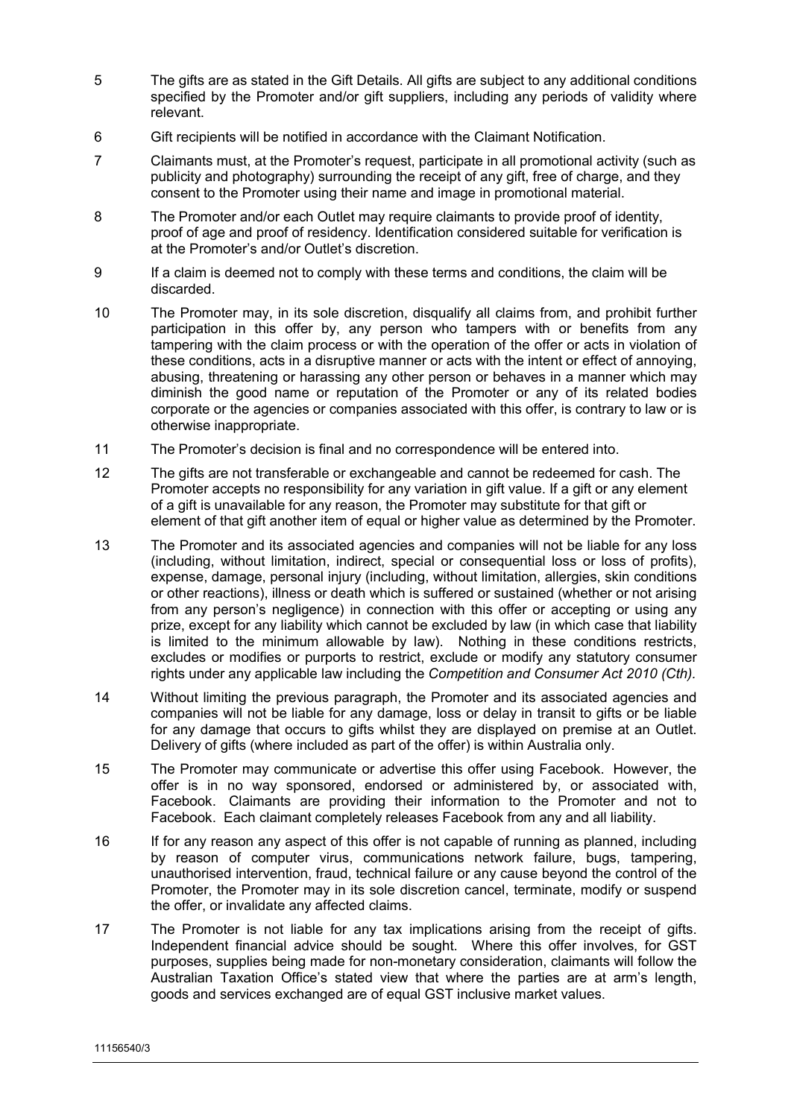- 5 The gifts are as stated in the Gift Details. All gifts are subject to any additional conditions specified by the Promoter and/or gift suppliers, including any periods of validity where relevant.
- 6 Gift recipients will be notified in accordance with the Claimant Notification.
- 7 Claimants must, at the Promoter's request, participate in all promotional activity (such as publicity and photography) surrounding the receipt of any gift, free of charge, and they consent to the Promoter using their name and image in promotional material.
- 8 The Promoter and/or each Outlet may require claimants to provide proof of identity, proof of age and proof of residency. Identification considered suitable for verification is at the Promoter's and/or Outlet's discretion.
- 9 If a claim is deemed not to comply with these terms and conditions, the claim will be discarded.
- 10 The Promoter may, in its sole discretion, disqualify all claims from, and prohibit further participation in this offer by, any person who tampers with or benefits from any tampering with the claim process or with the operation of the offer or acts in violation of these conditions, acts in a disruptive manner or acts with the intent or effect of annoying, abusing, threatening or harassing any other person or behaves in a manner which may diminish the good name or reputation of the Promoter or any of its related bodies corporate or the agencies or companies associated with this offer, is contrary to law or is otherwise inappropriate.
- 11 The Promoter's decision is final and no correspondence will be entered into.
- 12 The gifts are not transferable or exchangeable and cannot be redeemed for cash. The Promoter accepts no responsibility for any variation in gift value. If a gift or any element of a gift is unavailable for any reason, the Promoter may substitute for that gift or element of that gift another item of equal or higher value as determined by the Promoter.
- 13 The Promoter and its associated agencies and companies will not be liable for any loss (including, without limitation, indirect, special or consequential loss or loss of profits), expense, damage, personal injury (including, without limitation, allergies, skin conditions or other reactions), illness or death which is suffered or sustained (whether or not arising from any person's negligence) in connection with this offer or accepting or using any prize, except for any liability which cannot be excluded by law (in which case that liability is limited to the minimum allowable by law). Nothing in these conditions restricts, excludes or modifies or purports to restrict, exclude or modify any statutory consumer rights under any applicable law including the *Competition and Consumer Act 2010 (Cth).*
- 14 Without limiting the previous paragraph, the Promoter and its associated agencies and companies will not be liable for any damage, loss or delay in transit to gifts or be liable for any damage that occurs to gifts whilst they are displayed on premise at an Outlet. Delivery of gifts (where included as part of the offer) is within Australia only.
- 15 The Promoter may communicate or advertise this offer using Facebook. However, the offer is in no way sponsored, endorsed or administered by, or associated with, Facebook. Claimants are providing their information to the Promoter and not to Facebook. Each claimant completely releases Facebook from any and all liability.
- 16 If for any reason any aspect of this offer is not capable of running as planned, including by reason of computer virus, communications network failure, bugs, tampering, unauthorised intervention, fraud, technical failure or any cause beyond the control of the Promoter, the Promoter may in its sole discretion cancel, terminate, modify or suspend the offer, or invalidate any affected claims.
- 17 The Promoter is not liable for any tax implications arising from the receipt of gifts. Independent financial advice should be sought. Where this offer involves, for GST purposes, supplies being made for non-monetary consideration, claimants will follow the Australian Taxation Office's stated view that where the parties are at arm's length, goods and services exchanged are of equal GST inclusive market values.